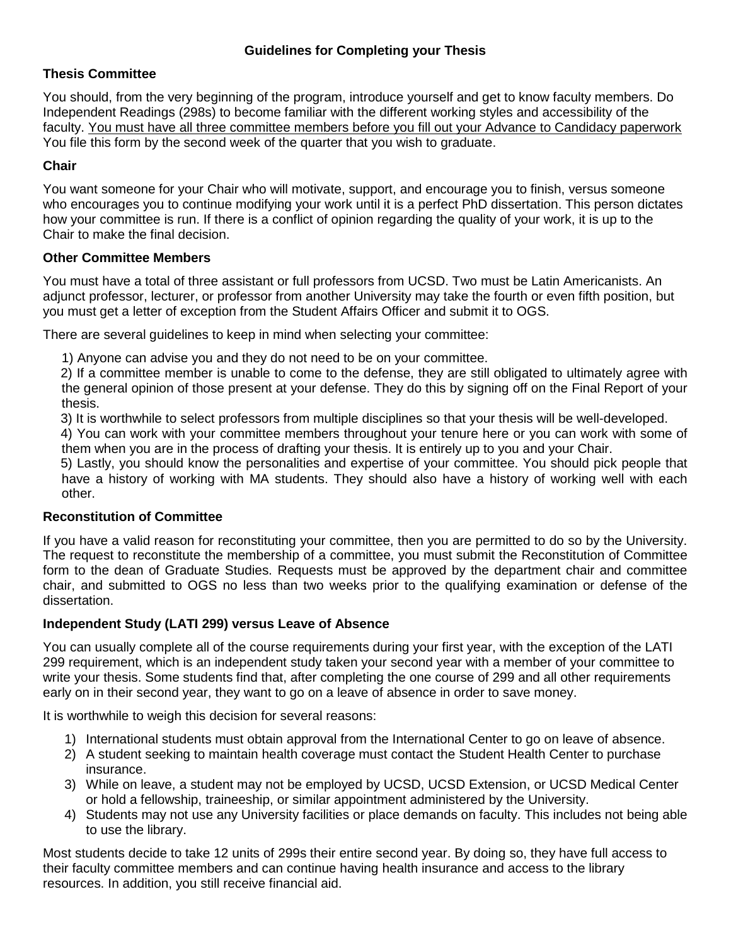# **Thesis Committee**

You should, from the very beginning of the program, introduce yourself and get to know faculty members. Do Independent Readings (298s) to become familiar with the different working styles and accessibility of the faculty. You must have all three committee members before you fill out your Advance to Candidacy paperwork You file this form by the second week of the quarter that you wish to graduate.

# **Chair**

You want someone for your Chair who will motivate, support, and encourage you to finish, versus someone who encourages you to continue modifying your work until it is a perfect PhD dissertation. This person dictates how your committee is run. If there is a conflict of opinion regarding the quality of your work, it is up to the Chair to make the final decision.

## **Other Committee Members**

You must have a total of three assistant or full professors from UCSD. Two must be Latin Americanists. An adjunct professor, lecturer, or professor from another University may take the fourth or even fifth position, but you must get a letter of exception from the Student Affairs Officer and submit it to OGS.

There are several guidelines to keep in mind when selecting your committee:

1) Anyone can advise you and they do not need to be on your committee.

2) If a committee member is unable to come to the defense, they are still obligated to ultimately agree with the general opinion of those present at your defense. They do this by signing off on the Final Report of your thesis.

3) It is worthwhile to select professors from multiple disciplines so that your thesis will be well-developed.

4) You can work with your committee members throughout your tenure here or you can work with some of them when you are in the process of drafting your thesis. It is entirely up to you and your Chair.

5) Lastly, you should know the personalities and expertise of your committee. You should pick people that have a history of working with MA students. They should also have a history of working well with each other.

## **Reconstitution of Committee**

If you have a valid reason for reconstituting your committee, then you are permitted to do so by the University. The request to reconstitute the membership of a committee, you must submit the Reconstitution of Committee form to the dean of Graduate Studies. Requests must be approved by the department chair and committee chair, and submitted to OGS no less than two weeks prior to the qualifying examination or defense of the dissertation.

## **Independent Study (LATI 299) versus Leave of Absence**

You can usually complete all of the course requirements during your first year, with the exception of the LATI 299 requirement, which is an independent study taken your second year with a member of your committee to write your thesis. Some students find that, after completing the one course of 299 and all other requirements early on in their second year, they want to go on a leave of absence in order to save money.

It is worthwhile to weigh this decision for several reasons:

- 1) International students must obtain approval from the International Center to go on leave of absence.
- 2) A student seeking to maintain health coverage must contact the Student Health Center to purchase insurance.
- 3) While on leave, a student may not be employed by UCSD, UCSD Extension, or UCSD Medical Center or hold a fellowship, traineeship, or similar appointment administered by the University.
- 4) Students may not use any University facilities or place demands on faculty. This includes not being able to use the library.

Most students decide to take 12 units of 299s their entire second year. By doing so, they have full access to their faculty committee members and can continue having health insurance and access to the library resources. In addition, you still receive financial aid.